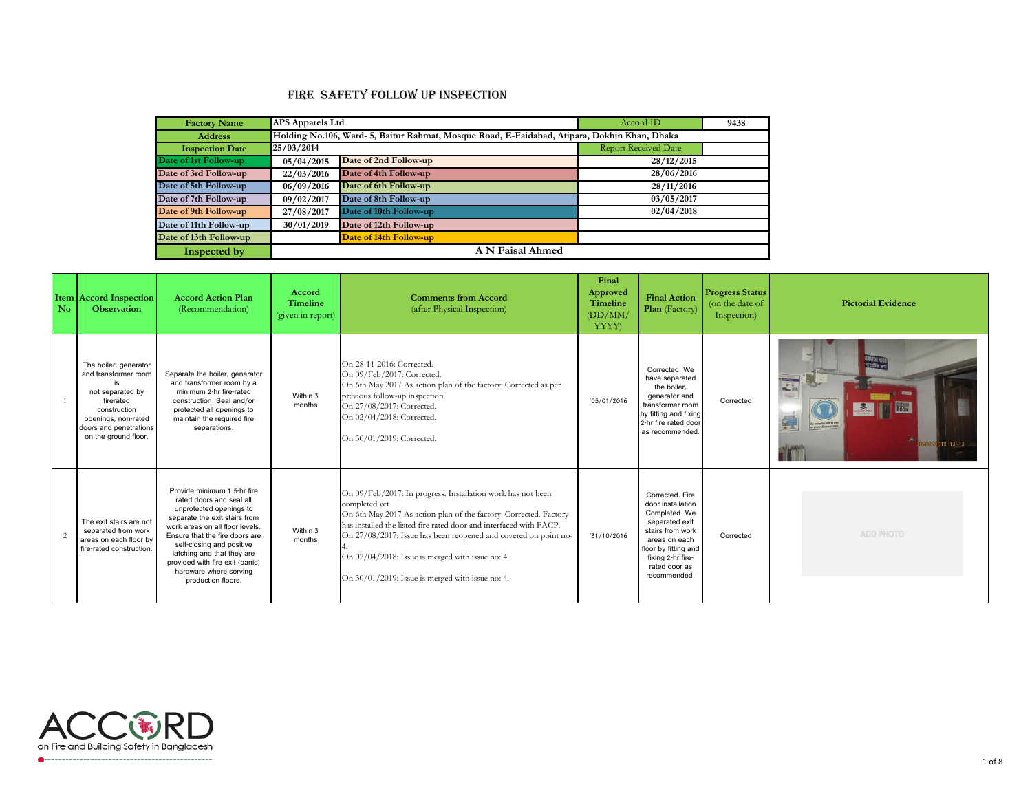## Fire Safety Follow up Inspection

| <b>Factory Name</b>    | <b>APS Apparels Ltd</b> |                                                                                              | Accord ID                   | 9438 |  |  |  |
|------------------------|-------------------------|----------------------------------------------------------------------------------------------|-----------------------------|------|--|--|--|
| <b>Address</b>         |                         | Holding No.106, Ward- 5, Baitur Rahmat, Mosque Road, E-Faidabad, Atipara, Dokhin Khan, Dhaka |                             |      |  |  |  |
| <b>Inspection Date</b> | 25/03/2014              |                                                                                              | <b>Report Received Date</b> |      |  |  |  |
| Date of 1st Follow-up  | 05/04/2015              | Date of 2nd Follow-up                                                                        | 28/12/2015                  |      |  |  |  |
| Date of 3rd Follow-up  | 22/03/2016              | Date of 4th Follow-up                                                                        | 28/06/2016                  |      |  |  |  |
| Date of 5th Follow-up  | 06/09/2016              | Date of 6th Follow-up                                                                        | 28/11/2016                  |      |  |  |  |
| Date of 7th Follow-up  | 09/02/2017              | Date of 8th Follow-up                                                                        | 03/05/2017                  |      |  |  |  |
| Date of 9th Follow-up  | 27/08/2017              | Date of 10th Follow-up                                                                       | 02/04/2018                  |      |  |  |  |
| Date of 11th Follow-up | 30/01/2019              | Date of 12th Follow-up                                                                       |                             |      |  |  |  |
| Date of 13th Follow-up |                         | Date of 14th Follow-up                                                                       |                             |      |  |  |  |
| Inspected by           | A N Faisal Ahmed        |                                                                                              |                             |      |  |  |  |

| N <sub>o</sub> | <b>Item Accord Inspection</b><br><b>Observation</b>                                                                                                                     | <b>Accord Action Plan</b><br>(Recommendation)                                                                                                                                                                                                                                                                                          | Accord<br><b>Timeline</b><br>(given in report) | <b>Comments from Accord</b><br>(after Physical Inspection)                                                                                                                                                                                                                                                                                                                                             | Final<br>Approved<br>Timeline<br>(DD/MM)<br><b>YYYY</b> ) | <b>Final Action</b><br>Plan (Factory)                                                                                                                                                      | <b>Progress Status</b><br>(on the date of<br>Inspection) | <b>Pictorial Evidence</b>                 |
|----------------|-------------------------------------------------------------------------------------------------------------------------------------------------------------------------|----------------------------------------------------------------------------------------------------------------------------------------------------------------------------------------------------------------------------------------------------------------------------------------------------------------------------------------|------------------------------------------------|--------------------------------------------------------------------------------------------------------------------------------------------------------------------------------------------------------------------------------------------------------------------------------------------------------------------------------------------------------------------------------------------------------|-----------------------------------------------------------|--------------------------------------------------------------------------------------------------------------------------------------------------------------------------------------------|----------------------------------------------------------|-------------------------------------------|
|                | The boiler, generator<br>and transformer room<br>not separated by<br>firerated<br>construction<br>openings, non-rated<br>doors and penetrations<br>on the ground floor. | Separate the boiler, generator<br>and transformer room by a<br>minimum 2-hr fire-rated<br>construction. Seal and/or<br>protected all openings to<br>maintain the required fire<br>separations.                                                                                                                                         | Within 3<br>months                             | On 28-11-2016: Corrected<br>On 09/Feb/2017: Corrected.<br>On 6th May 2017 As action plan of the factory: Corrected as per<br>previous follow-up inspection.<br>On 27/08/2017: Corrected.<br>On 02/04/2018: Corrected.<br>On 30/01/2019: Corrected.                                                                                                                                                     | '05/01/2016                                               | Corrected, We<br>have separated<br>the boiler.<br>generator and<br>transformer room<br>by fitting and fixing<br>2-hr fire rated door<br>as recommended.                                    | Corrected                                                | <b>lication</b><br><b>QVO1/2019 13:13</b> |
|                | The exit stairs are not<br>separated from work<br>areas on each floor by<br>fire-rated construction.                                                                    | Provide minimum 1.5-hr fire<br>rated doors and seal all<br>unprotected openings to<br>separate the exit stairs from<br>work areas on all floor levels.<br>Ensure that the fire doors are<br>self-closing and positive<br>latching and that they are<br>provided with fire exit (panic)<br>hardware where serving<br>production floors. | Within 3<br>months                             | On 09/Feb/2017: In progress. Installation work has not been<br>completed yet.<br>On 6th May 2017 As action plan of the factory: Corrected. Factory<br>has installed the listed fire rated door and interfaced with FACP.<br>On 27/08/2017: Issue has been reopened and covered on point no-<br>On 02/04/2018: Issue is merged with issue no: 4.<br>On $30/01/2019$ : Issue is merged with issue no: 4. | '31/10/2016                                               | Corrected, Fire<br>door installation<br>Completed. We<br>separated exit<br>stairs from work<br>areas on each<br>floor by fitting and<br>fixing 2-hr fire-<br>rated door as<br>recommended. | Corrected                                                | <b>ADD PHOTO</b>                          |

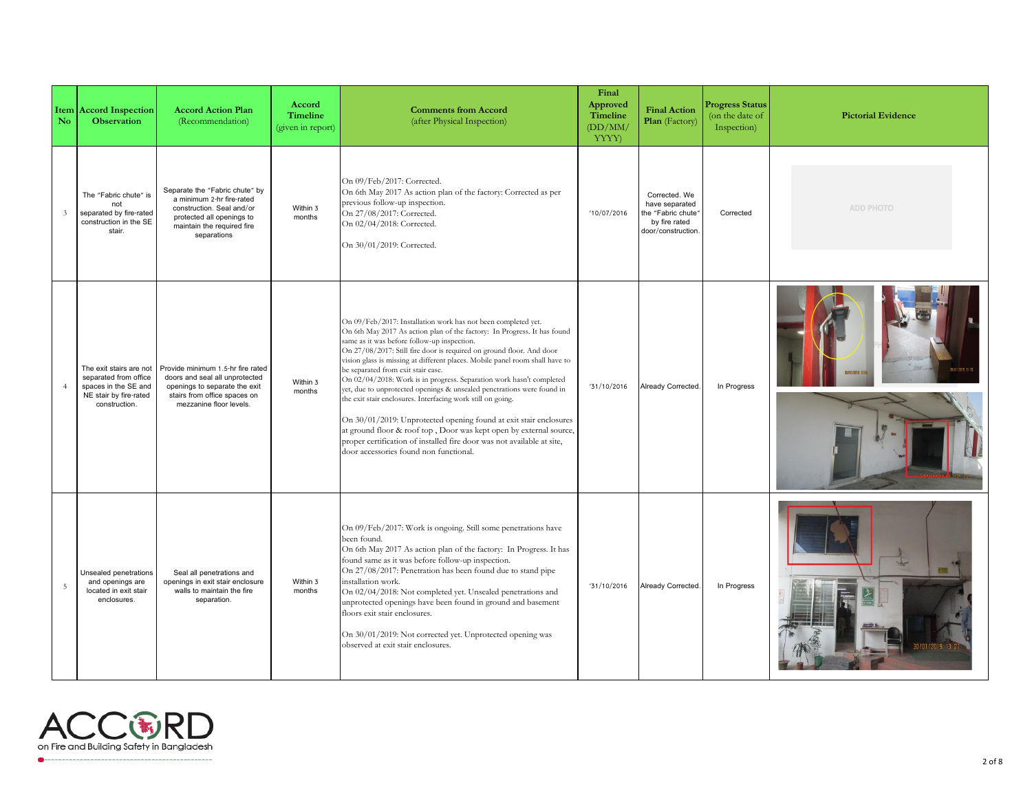| N <sub>o</sub> | <b>Item Accord Inspection</b><br><b>Observation</b>                                                                 | <b>Accord Action Plan</b><br>(Recommendation)                                                                                                                      | Accord<br><b>Timeline</b><br>(given in report) | <b>Comments from Accord</b><br>(after Physical Inspection)                                                                                                                                                                                                                                                                                                                                                                                                                                                                                                                                                                                                                                                                                                                                                                                                             | Final<br>Approved<br>Timeline<br>(DD/MM)<br>YYYY) | <b>Final Action</b><br>Plan (Factory)                                                        | <b>Progress Status</b><br>(on the date of<br>Inspection) | <b>Pictorial Evidence</b> |
|----------------|---------------------------------------------------------------------------------------------------------------------|--------------------------------------------------------------------------------------------------------------------------------------------------------------------|------------------------------------------------|------------------------------------------------------------------------------------------------------------------------------------------------------------------------------------------------------------------------------------------------------------------------------------------------------------------------------------------------------------------------------------------------------------------------------------------------------------------------------------------------------------------------------------------------------------------------------------------------------------------------------------------------------------------------------------------------------------------------------------------------------------------------------------------------------------------------------------------------------------------------|---------------------------------------------------|----------------------------------------------------------------------------------------------|----------------------------------------------------------|---------------------------|
| $\mathfrak{Z}$ | The "Fabric chute" is<br>not<br>separated by fire-rated<br>construction in the SE<br>stair.                         | Separate the "Fabric chute" by<br>a minimum 2-hr fire-rated<br>construction. Seal and/or<br>protected all openings to<br>maintain the required fire<br>separations | Within 3<br>months                             | On 09/Feb/2017: Corrected.<br>On 6th May 2017 As action plan of the factory: Corrected as per<br>previous follow-up inspection.<br>On 27/08/2017: Corrected.<br>On 02/04/2018: Corrected.<br>On 30/01/2019: Corrected.                                                                                                                                                                                                                                                                                                                                                                                                                                                                                                                                                                                                                                                 | '10/07/2016                                       | Corrected. We<br>have separated<br>the "Fabric chute"<br>by fire rated<br>door/construction. | Corrected                                                | <b>ADD PHOTO</b>          |
| $\overline{4}$ | The exit stairs are not<br>separated from office<br>spaces in the SE and<br>NE stair by fire-rated<br>construction. | Provide minimum 1.5-hr fire rated<br>doors and seal all unprotected<br>openings to separate the exit<br>stairs from office spaces on<br>mezzanine floor levels.    | Within 3<br>months                             | On 09/Feb/2017: Installation work has not been completed yet.<br>On 6th May 2017 As action plan of the factory: In Progress. It has found<br>same as it was before follow-up inspection.<br>On 27/08/2017: Still fire door is required on ground floor. And door<br>vision glass is missing at different places. Mobile panel room shall have to<br>be separated from exit stair case.<br>On 02/04/2018: Work is in progress. Separation work hasn't completed<br>yet, due to unprotected openings & unsealed penetrations were found in<br>the exit stair enclosures. Interfacing work still on going.<br>On 30/01/2019: Unprotected opening found at exit stair enclosures<br>at ground floor & roof top, Door was kept open by external source,<br>proper certification of installed fire door was not available at site,<br>door accessories found non functional. | '31/10/2016                                       | Already Corrected.                                                                           | In Progress                                              | 1/01/9019 16:             |
| $\overline{5}$ | Unsealed penetrations<br>and openings are<br>located in exit stair<br>enclosures.                                   | Seal all penetrations and<br>openings in exit stair enclosure<br>walls to maintain the fire<br>separation.                                                         | Within 3<br>months                             | On 09/Feb/2017: Work is ongoing. Still some penetrations have<br>been found.<br>On 6th May 2017 As action plan of the factory: In Progress. It has<br>found same as it was before follow-up inspection.<br>On 27/08/2017: Penetration has been found due to stand pipe<br>installation work.<br>On 02/04/2018: Not completed yet. Unsealed penetrations and<br>unprotected openings have been found in ground and basement<br>floors exit stair enclosures.<br>On 30/01/2019: Not corrected yet. Unprotected opening was<br>observed at exit stair enclosures.                                                                                                                                                                                                                                                                                                         | '31/10/2016                                       | Already Corrected.                                                                           | In Progress                                              |                           |

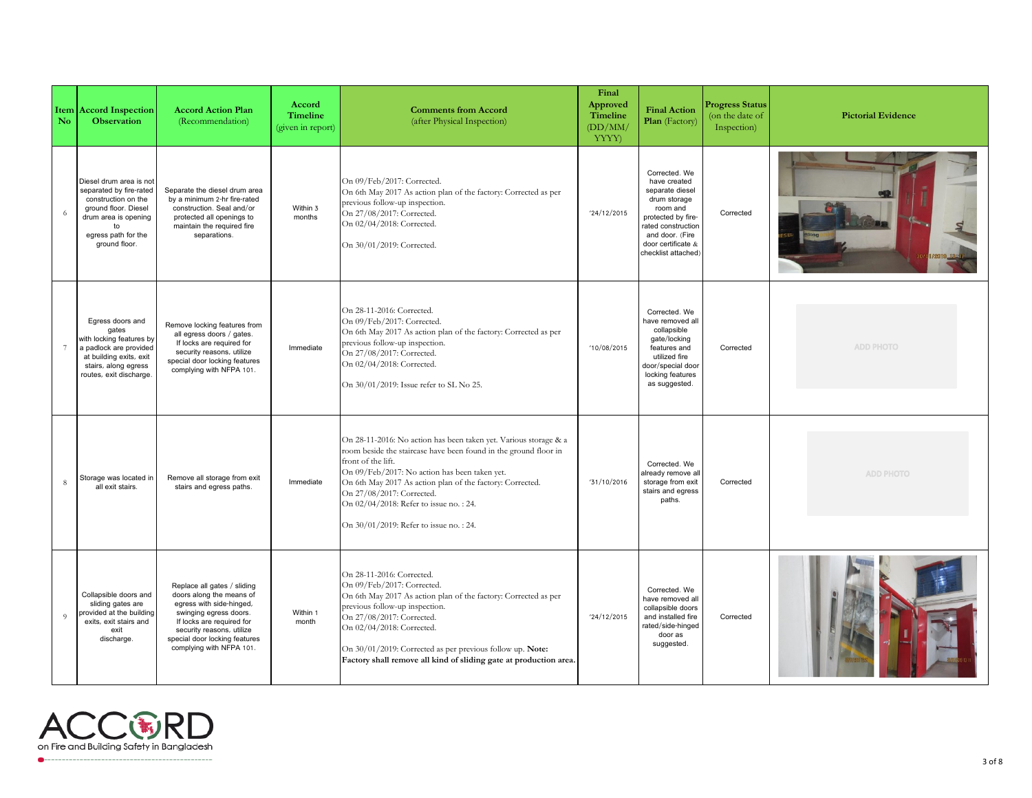| $\overline{\text{No}}$ | <b>Item Accord Inspection</b><br><b>Observation</b>                                                                                                                     | <b>Accord Action Plan</b><br>(Recommendation)                                                                                                                                                                                        | <b>Accord</b><br><b>Timeline</b><br>(given in report) | <b>Comments from Accord</b><br>(after Physical Inspection)                                                                                                                                                                                                                                                                                                                                | Final<br>Approved<br><b>Timeline</b><br>(DD/MM)<br>YYYY) | <b>Final Action</b><br>Plan (Factory)                                                                                                                                                    | <b>Progress Status</b><br>(on the date of<br>Inspection) | <b>Pictorial Evidence</b> |
|------------------------|-------------------------------------------------------------------------------------------------------------------------------------------------------------------------|--------------------------------------------------------------------------------------------------------------------------------------------------------------------------------------------------------------------------------------|-------------------------------------------------------|-------------------------------------------------------------------------------------------------------------------------------------------------------------------------------------------------------------------------------------------------------------------------------------------------------------------------------------------------------------------------------------------|----------------------------------------------------------|------------------------------------------------------------------------------------------------------------------------------------------------------------------------------------------|----------------------------------------------------------|---------------------------|
| 6                      | Diesel drum area is not<br>separated by fire-rated<br>construction on the<br>ground floor. Diesel<br>drum area is opening<br>to<br>egress path for the<br>ground floor. | Separate the diesel drum area<br>by a minimum 2-hr fire-rated<br>construction. Seal and/or<br>protected all openings to<br>maintain the required fire<br>separations.                                                                | Within 3<br>months                                    | On 09/Feb/2017: Corrected.<br>On 6th May 2017 As action plan of the factory: Corrected as per<br>previous follow-up inspection.<br>On 27/08/2017: Corrected.<br>On 02/04/2018: Corrected.<br>On 30/01/2019: Corrected.                                                                                                                                                                    | '24/12/2015                                              | Corrected. We<br>have created<br>separate diesel<br>drum storage<br>room and<br>protected by fire-<br>rated construction<br>and door. (Fire<br>door certificate &<br>checklist attached) | Corrected                                                |                           |
| $7\phantom{.0}$        | Egress doors and<br>gates<br>with locking features by<br>a padlock are provided<br>at building exits, exit<br>stairs, along egress<br>routes, exit discharge.           | Remove locking features from<br>all egress doors / gates.<br>If locks are required for<br>security reasons, utilize<br>special door locking features<br>complying with NFPA 101.                                                     | Immediate                                             | On 28-11-2016: Corrected.<br>On 09/Feb/2017: Corrected.<br>On 6th May 2017 As action plan of the factory: Corrected as per<br>previous follow-up inspection.<br>On 27/08/2017: Corrected.<br>On 02/04/2018: Corrected.<br>On 30/01/2019: Issue refer to SL No 25.                                                                                                                         | '10/08/2015                                              | Corrected. We<br>have removed all<br>collapsible<br>gate/locking<br>features and<br>utilized fire<br>door/special door<br>locking features<br>as suggested.                              | Corrected                                                | <b>ADD PHOTO</b>          |
| 8                      | Storage was located in<br>all exit stairs.                                                                                                                              | Remove all storage from exit<br>stairs and egress paths.                                                                                                                                                                             | Immediate                                             | On 28-11-2016: No action has been taken yet. Various storage & a<br>room beside the staircase have been found in the ground floor in<br>front of the lift.<br>On 09/Feb/2017: No action has been taken yet.<br>On 6th May 2017 As action plan of the factory: Corrected.<br>On 27/08/2017: Corrected.<br>On 02/04/2018: Refer to issue no.: 24.<br>On 30/01/2019: Refer to issue no.: 24. | '31/10/2016                                              | Corrected. We<br>already remove all<br>storage from exit<br>stairs and egress<br>paths.                                                                                                  | Corrected                                                | <b>ADD PHOTO</b>          |
| $\overline{9}$         | Collapsible doors and<br>sliding gates are<br>provided at the building<br>exits, exit stairs and<br>exit<br>discharge.                                                  | Replace all gates / sliding<br>doors along the means of<br>egress with side-hinged,<br>swinging egress doors.<br>If locks are required for<br>security reasons, utilize<br>special door locking features<br>complying with NFPA 101. | Within 1<br>month                                     | On 28-11-2016: Corrected.<br>On 09/Feb/2017: Corrected.<br>On 6th May 2017 As action plan of the factory: Corrected as per<br>previous follow-up inspection.<br>On 27/08/2017: Corrected.<br>On 02/04/2018: Corrected.<br>On 30/01/2019: Corrected as per previous follow up. Note:<br>Factory shall remove all kind of sliding gate at production area.                                  | '24/12/2015                                              | Corrected. We<br>have removed all<br>collapsible doors<br>and installed fire<br>rated/side-hinged<br>door as<br>suggested.                                                               | Corrected                                                |                           |

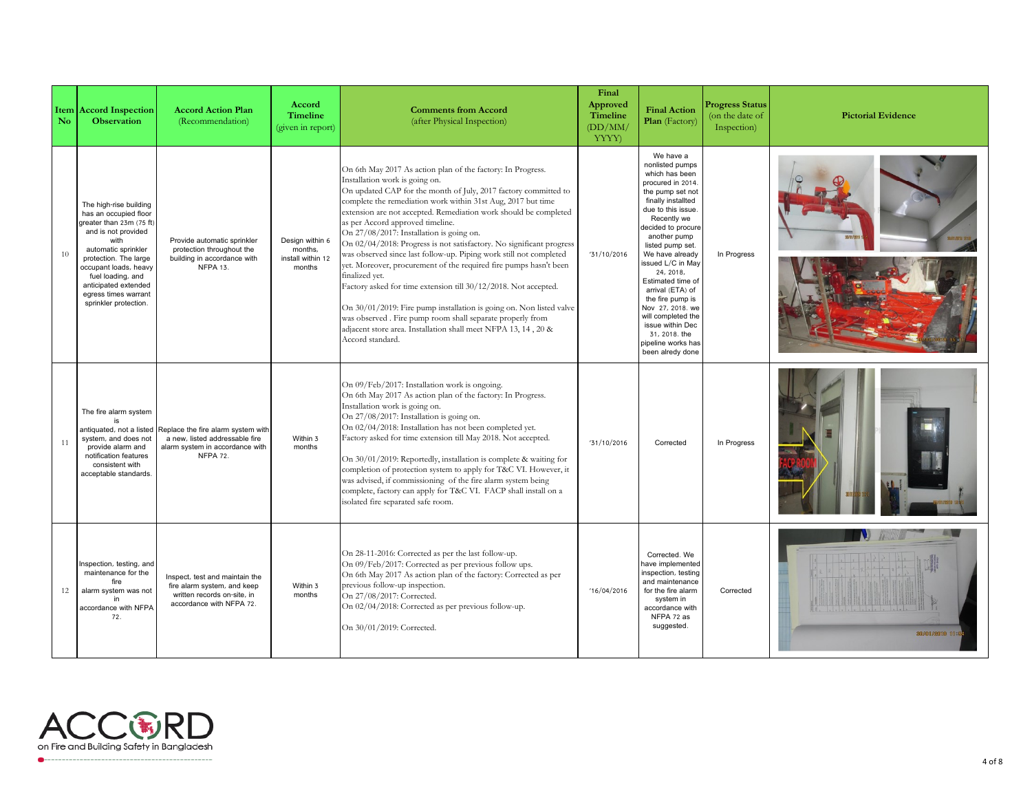| $\mathbf{N}$ <sub>o</sub> | <b>Item Accord Inspection</b><br><b>Observation</b>                                                                                                                                                                                                                               | <b>Accord Action Plan</b><br>(Recommendation)                                                                              | Accord<br><b>Timeline</b><br>(given in report)            | <b>Comments from Accord</b><br>(after Physical Inspection)                                                                                                                                                                                                                                                                                                                                                                                                                                                                                                                                                                                                                                                                                                                                                                                                                                                             | Final<br>Approved<br><b>Timeline</b><br>(DD/MM)<br>YYYY) | <b>Final Action</b><br>Plan (Factory)                                                                                                                                                                                                                                                                                                                                                                                                                  | <b>Progress Status</b><br>(on the date of<br>Inspection) | <b>Pictorial Evidence</b> |
|---------------------------|-----------------------------------------------------------------------------------------------------------------------------------------------------------------------------------------------------------------------------------------------------------------------------------|----------------------------------------------------------------------------------------------------------------------------|-----------------------------------------------------------|------------------------------------------------------------------------------------------------------------------------------------------------------------------------------------------------------------------------------------------------------------------------------------------------------------------------------------------------------------------------------------------------------------------------------------------------------------------------------------------------------------------------------------------------------------------------------------------------------------------------------------------------------------------------------------------------------------------------------------------------------------------------------------------------------------------------------------------------------------------------------------------------------------------------|----------------------------------------------------------|--------------------------------------------------------------------------------------------------------------------------------------------------------------------------------------------------------------------------------------------------------------------------------------------------------------------------------------------------------------------------------------------------------------------------------------------------------|----------------------------------------------------------|---------------------------|
| 10                        | The high-rise building<br>has an occupied floor<br>greater than 23m (75 ft)<br>and is not provided<br>with<br>automatic sprinkler<br>protection. The large<br>occupant loads, heavy<br>fuel loading, and<br>anticipated extended<br>egress times warrant<br>sprinkler protection. | Provide automatic sprinkler<br>protection throughout the<br>building in accordance with<br><b>NFPA 13.</b>                 | Design within 6<br>months,<br>install within 12<br>months | On 6th May 2017 As action plan of the factory: In Progress.<br>Installation work is going on.<br>On updated CAP for the month of July, 2017 factory committed to<br>complete the remediation work within 31st Aug, 2017 but time<br>extension are not accepted. Remediation work should be completed<br>as per Accord approved timeline.<br>On 27/08/2017: Installation is going on.<br>On 02/04/2018: Progress is not satisfactory. No significant progress<br>was observed since last follow-up. Piping work still not completed<br>yet. Moreover, procurement of the required fire pumps hasn't been<br>finalized vet.<br>Factory asked for time extension till 30/12/2018. Not accepted.<br>On 30/01/2019: Fire pump installation is going on. Non listed valve<br>was observed. Fire pump room shall separate properly from<br>adjacent store area. Installation shall meet NFPA 13, 14, 20 &<br>Accord standard. | '31/10/2016                                              | We have a<br>nonlisted pumps<br>which has been<br>procured in 2014<br>the pump set not<br>finally installted<br>due to this issue.<br>Recently we<br>decided to procure<br>another pump<br>listed pump set.<br>We have already<br>issued L/C in May<br>24, 2018,<br>Estimated time of<br>arrival (ETA) of<br>the fire pump is<br>Nov 27, 2018. we<br>will completed the<br>issue within Dec<br>31, 2018. the<br>pipeline works has<br>been alredy done | In Progress                                              |                           |
| 11                        | The fire alarm system<br>antiquated, not a listed<br>system, and does not<br>provide alarm and<br>notification features<br>consistent with<br>acceptable standards.                                                                                                               | Replace the fire alarm system with<br>a new, listed addressable fire<br>alarm system in accordance with<br><b>NFPA 72.</b> | Within 3<br>months                                        | On 09/Feb/2017: Installation work is ongoing.<br>On 6th May 2017 As action plan of the factory: In Progress.<br>Installation work is going on.<br>On 27/08/2017: Installation is going on.<br>On 02/04/2018: Installation has not been completed yet.<br>Factory asked for time extension till May 2018. Not accepted.<br>On 30/01/2019: Reportedly, installation is complete & waiting for<br>completion of protection system to apply for T&C VI. However, it<br>was advised, if commissioning of the fire alarm system being<br>complete, factory can apply for T&C VI. FACP shall install on a<br>isolated fire separated safe room.                                                                                                                                                                                                                                                                               | '31/10/2016                                              | Corrected                                                                                                                                                                                                                                                                                                                                                                                                                                              | In Progress                                              |                           |
| 12                        | nspection, testing, and<br>maintenance for the<br>fire<br>alarm system was not<br>in<br>accordance with NFPA<br>72.                                                                                                                                                               | Inspect, test and maintain the<br>fire alarm system, and keep<br>written records on-site, in<br>accordance with NFPA 72.   | Within 3<br>months                                        | On 28-11-2016: Corrected as per the last follow-up.<br>On 09/Feb/2017: Corrected as per previous follow ups.<br>On 6th May 2017 As action plan of the factory: Corrected as per<br>previous follow-up inspection.<br>On 27/08/2017: Corrected.<br>On 02/04/2018: Corrected as per previous follow-up.<br>On 30/01/2019: Corrected.                                                                                                                                                                                                                                                                                                                                                                                                                                                                                                                                                                                     | '16/04/2016                                              | Corrected. We<br>have implemented<br>inspection, testing<br>and maintenance<br>for the fire alarm<br>system in<br>accordance with<br>NFPA 72 as<br>suggested.                                                                                                                                                                                                                                                                                          | Corrected                                                | 30/01/2018 11:54          |

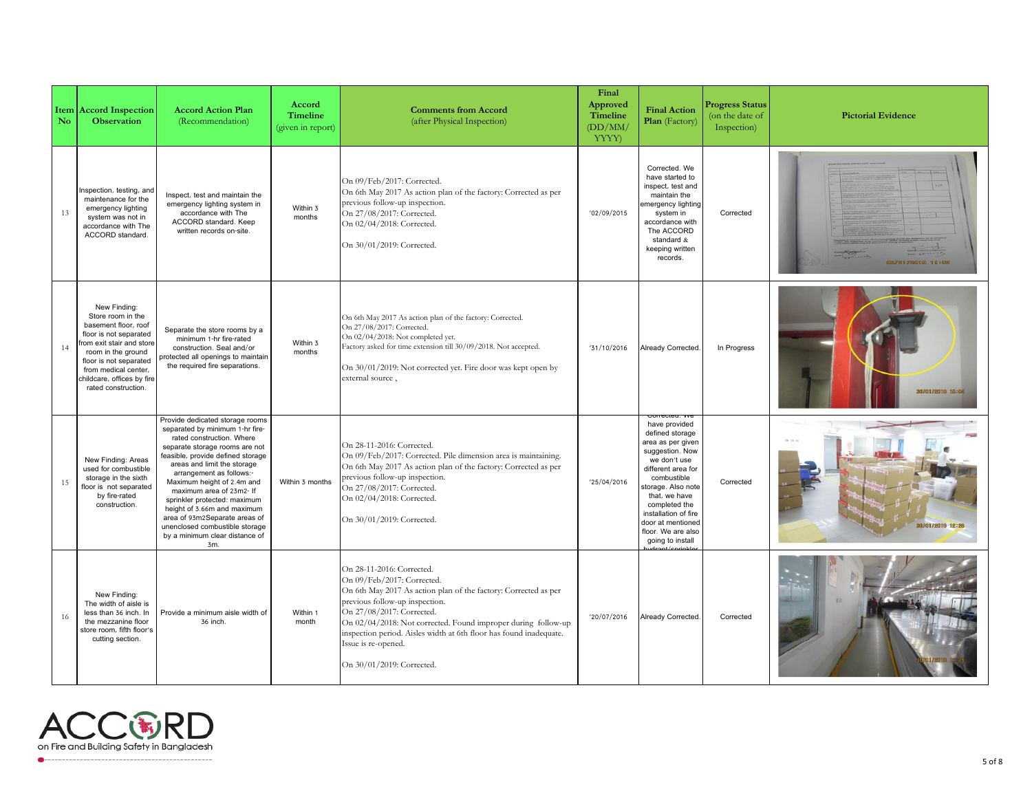| N <sub>o</sub> | <b>Item Accord Inspection</b><br><b>Observation</b>                                                                                                                                                                                          | <b>Accord Action Plan</b><br>(Recommendation)                                                                                                                                                                                                                                                                                                                                                                                                                          | Accord<br><b>Timeline</b><br>(given in report) | <b>Comments from Accord</b><br>(after Physical Inspection)                                                                                                                                                                                                                                                                                                                           | Final<br>Approved<br><b>Timeline</b><br>(DD/MM)<br>YYYY) | <b>Final Action</b><br>Plan (Factory)                                                                                                                                                                                                                                        | <b>Progress Status</b><br>(on the date of<br>Inspection) | <b>Pictorial Evidence</b> |
|----------------|----------------------------------------------------------------------------------------------------------------------------------------------------------------------------------------------------------------------------------------------|------------------------------------------------------------------------------------------------------------------------------------------------------------------------------------------------------------------------------------------------------------------------------------------------------------------------------------------------------------------------------------------------------------------------------------------------------------------------|------------------------------------------------|--------------------------------------------------------------------------------------------------------------------------------------------------------------------------------------------------------------------------------------------------------------------------------------------------------------------------------------------------------------------------------------|----------------------------------------------------------|------------------------------------------------------------------------------------------------------------------------------------------------------------------------------------------------------------------------------------------------------------------------------|----------------------------------------------------------|---------------------------|
| 13             | nspection, testing, and<br>maintenance for the<br>emergency lighting<br>system was not in<br>accordance with The<br>ACCORD standard.                                                                                                         | Inspect, test and maintain the<br>emergency lighting system in<br>accordance with The<br>ACCORD standard. Keep<br>written records on-site.                                                                                                                                                                                                                                                                                                                             | Within 3<br>months                             | On 09/Feb/2017: Corrected.<br>On 6th May 2017 As action plan of the factory: Corrected as per<br>previous follow-up inspection.<br>On 27/08/2017: Corrected.<br>On 02/04/2018: Corrected.<br>On 30/01/2019: Corrected.                                                                                                                                                               | '02/09/2015                                              | Corrected. We<br>have started to<br>inspect, test and<br>maintain the<br>emergency lighting<br>system in<br>accordance with<br>The ACCORD<br>standard &<br>keeping written<br>records.                                                                                       | Corrected                                                | 300/01/22019 11:03        |
| 14             | New Finding:<br>Store room in the<br>basement floor, roof<br>floor is not separated<br>rom exit stair and store<br>room in the ground<br>floor is not separated<br>from medical center,<br>childcare, offices by fire<br>rated construction. | Separate the store rooms by a<br>minimum 1-hr fire-rated<br>construction. Seal and/or<br>protected all openings to maintain<br>the required fire separations.                                                                                                                                                                                                                                                                                                          | Within 3<br>months                             | On 6th May 2017 As action plan of the factory: Corrected.<br>On 27/08/2017: Corrected.<br>On 02/04/2018: Not completed yet.<br>Factory asked for time extension till 30/09/2018. Not accepted.<br>On 30/01/2019: Not corrected yet. Fire door was kept open by<br>external source,                                                                                                   | '31/10/2016                                              | <b>Already Corrected</b>                                                                                                                                                                                                                                                     | In Progress                                              | 30/01/2019 15:08          |
| 15             | New Finding: Areas<br>used for combustible<br>storage in the sixth<br>floor is not separated<br>by fire-rated<br>construction.                                                                                                               | Provide dedicated storage rooms<br>separated by minimum 1-hr fire-<br>rated construction. Where<br>separate storage rooms are not<br>feasible, provide defined storage<br>areas and limit the storage<br>arrangement as follows:-<br>Maximum height of 2.4m and<br>maximum area of 23m2- If<br>sprinkler protected: maximum<br>height of 3.66m and maximum<br>area of 93m2Separate areas of<br>unenclosed combustible storage<br>by a minimum clear distance of<br>3m. | Within 3 months                                | On 28-11-2016: Corrected.<br>On 09/Feb/2017: Corrected. Pile dimension area is maintaining.<br>On 6th May 2017 As action plan of the factory: Corrected as per<br>previous follow-up inspection.<br>On 27/08/2017: Corrected.<br>On 02/04/2018: Corrected.<br>On 30/01/2019: Corrected.                                                                                              | '25/04/2016                                              | have provided<br>defined storage<br>area as per given<br>suggestion. Now<br>we don't use<br>different area for<br>combustible<br>storage. Also note<br>that, we have<br>completed the<br>installation of fire<br>door at mentioned<br>floor. We are also<br>going to install | Corrected                                                | 30/01/2019 12:28          |
| 16             | New Finding:<br>The width of aisle is<br>less than 36 inch. In<br>the mezzanine floor<br>store room, fifth floor's<br>cutting section.                                                                                                       | Provide a minimum aisle width of<br>36 inch.                                                                                                                                                                                                                                                                                                                                                                                                                           | Within 1<br>month                              | On 28-11-2016: Corrected.<br>On 09/Feb/2017: Corrected.<br>On 6th May 2017 As action plan of the factory: Corrected as per<br>previous follow-up inspection.<br>On 27/08/2017: Corrected.<br>On 02/04/2018: Not corrected. Found improper during follow-up<br>inspection period. Aisles width at 6th floor has found inadequate.<br>Issue is re-opened.<br>On 30/01/2019: Corrected. | '20/07/2016                                              | <b>Already Corrected</b>                                                                                                                                                                                                                                                     | Corrected                                                |                           |

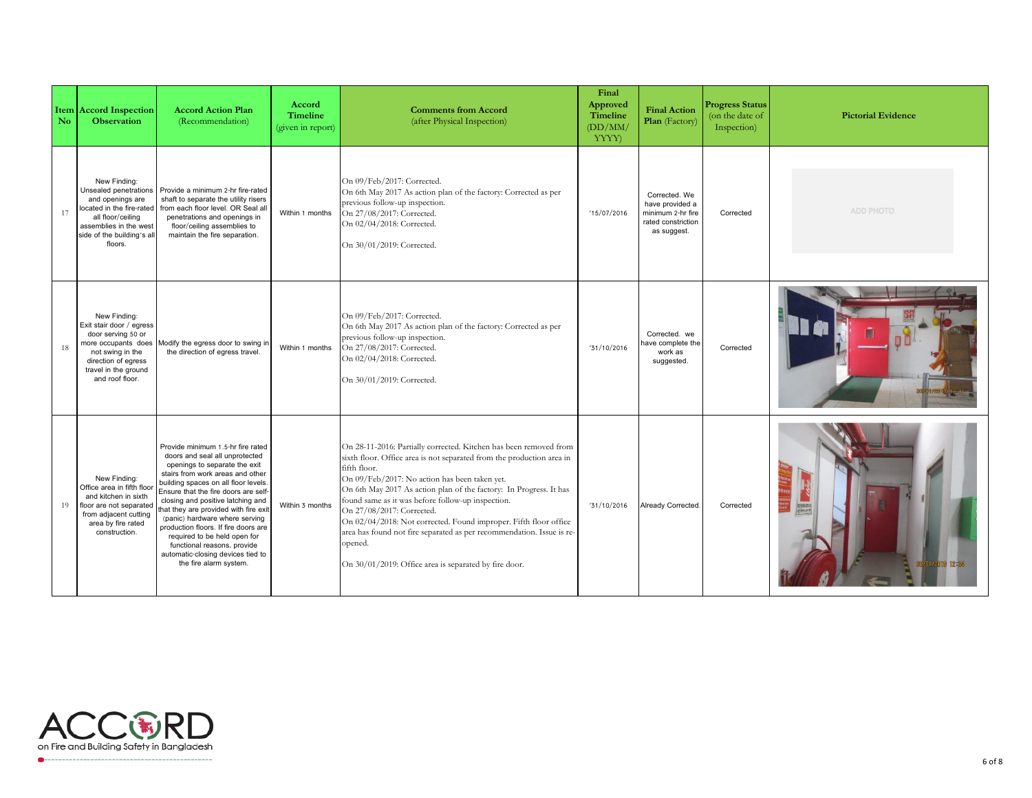| $\mathbf{N}$ <sub>o</sub> | <b>Item Accord Inspection</b><br><b>Observation</b>                                                                                                                            | <b>Accord Action Plan</b><br>(Recommendation)                                                                                                                                                                                                                                                                                                                                                                                                                                                                  | Accord<br><b>Timeline</b><br>(given in report) | <b>Comments from Accord</b><br>(after Physical Inspection)                                                                                                                                                                                                                                                                                                                                                                                                                                                                                                                           | Final<br>Approved<br><b>Timeline</b><br>(DD/MM)<br>YYYY) | <b>Final Action</b><br>Plan (Factory)                                                      | <b>Progress Status</b><br>(on the date of<br>Inspection) | <b>Pictorial Evidence</b> |
|---------------------------|--------------------------------------------------------------------------------------------------------------------------------------------------------------------------------|----------------------------------------------------------------------------------------------------------------------------------------------------------------------------------------------------------------------------------------------------------------------------------------------------------------------------------------------------------------------------------------------------------------------------------------------------------------------------------------------------------------|------------------------------------------------|--------------------------------------------------------------------------------------------------------------------------------------------------------------------------------------------------------------------------------------------------------------------------------------------------------------------------------------------------------------------------------------------------------------------------------------------------------------------------------------------------------------------------------------------------------------------------------------|----------------------------------------------------------|--------------------------------------------------------------------------------------------|----------------------------------------------------------|---------------------------|
| 17                        | New Finding:<br>Unsealed penetrations<br>and openings are<br>located in the fire-rated<br>all floor/ceiling<br>assemblies in the west<br>side of the building's all<br>floors. | Provide a minimum 2-hr fire-rated<br>shaft to separate the utility risers<br>from each floor level. OR Seal all<br>penetrations and openings in<br>floor/ceiling assemblies to<br>maintain the fire separation.                                                                                                                                                                                                                                                                                                | Within 1 months                                | On 09/Feb/2017: Corrected.<br>On 6th May 2017 As action plan of the factory: Corrected as per<br>previous follow-up inspection.<br>On 27/08/2017: Corrected.<br>On 02/04/2018: Corrected.<br>On 30/01/2019: Corrected.                                                                                                                                                                                                                                                                                                                                                               | '15/07/2016                                              | Corrected. We<br>have provided a<br>minimum 2-hr fire<br>rated constriction<br>as suggest. | Corrected                                                | <b>ADD PHOTO</b>          |
| 18                        | New Finding:<br>Exit stair door / egress<br>door serving 50 or<br>more occupants does<br>not swing in the<br>direction of egress<br>travel in the ground<br>and roof floor.    | Modify the egress door to swing in<br>the direction of egress travel.                                                                                                                                                                                                                                                                                                                                                                                                                                          | Within 1 months                                | On 09/Feb/2017: Corrected.<br>On 6th May 2017 As action plan of the factory: Corrected as per<br>previous follow-up inspection.<br>On 27/08/2017: Corrected.<br>On 02/04/2018: Corrected.<br>On 30/01/2019: Corrected.                                                                                                                                                                                                                                                                                                                                                               | '31/10/2016                                              | Corrected, we<br>ave complete the<br>work as<br>suggested.                                 | Corrected                                                |                           |
| 19                        | New Finding:<br>Office area in fifth floor<br>and kitchen in sixth<br>floor are not separated<br>from adjacent cutting<br>area by fire rated<br>construction.                  | Provide minimum 1.5-hr fire rated<br>doors and seal all unprotected<br>openings to separate the exit<br>stairs from work areas and other<br>building spaces on all floor levels.<br>Ensure that the fire doors are self-<br>closing and positive latching and<br>that they are provided with fire exit<br>(panic) hardware where serving<br>production floors. If fire doors are<br>required to be held open for<br>functional reasons, provide<br>automatic-closing devices tied to<br>the fire alarm system. | Within 3 months                                | On 28-11-2016: Partially corrected. Kitchen has been removed from<br>sixth floor. Office area is not separated from the production area in<br>fifth floor.<br>On 09/Feb/2017: No action has been taken yet.<br>On 6th May 2017 As action plan of the factory: In Progress. It has<br>found same as it was before follow-up inspection.<br>On 27/08/2017: Corrected.<br>On 02/04/2018: Not corrected. Found improper. Fifth floor office<br>area has found not fire separated as per recommendation. Issue is re-<br>opened.<br>On 30/01/2019: Office area is separated by fire door. | '31/10/2016                                              | Already Corrected.                                                                         | Corrected                                                | 電話解答<br>会社作家生<br>ms 12:34 |



 $\bullet$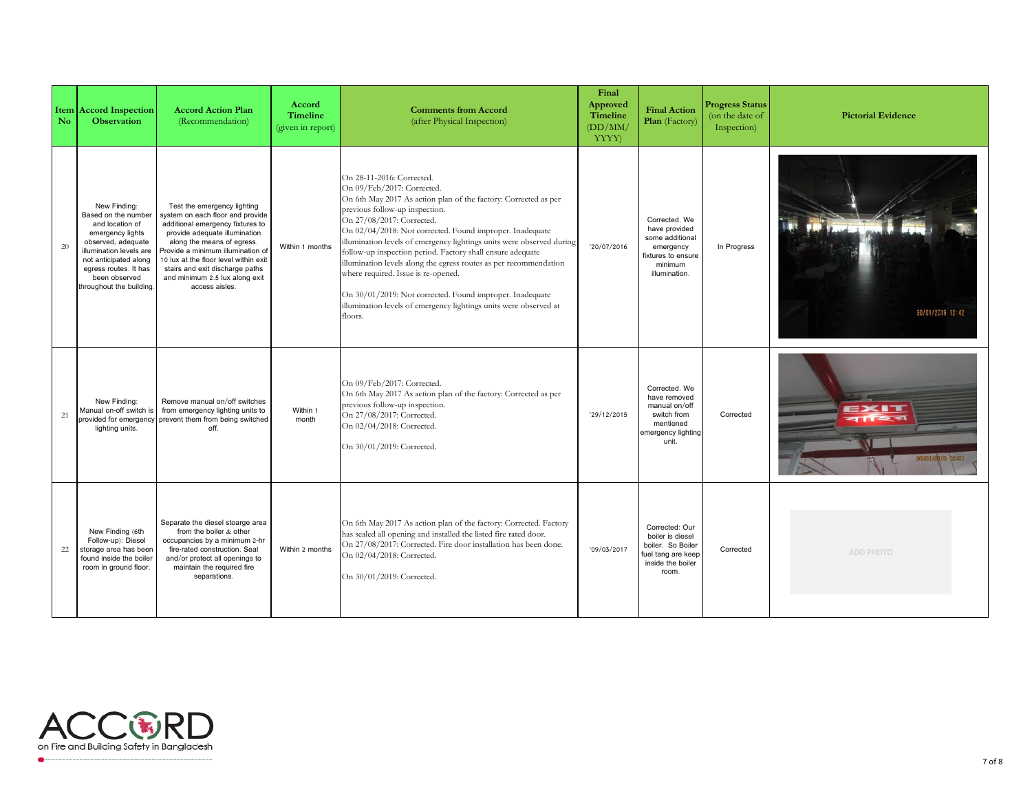| N <sub>o</sub> | <b>Item Accord Inspection</b><br><b>Observation</b>                                                                                                                                                                        | <b>Accord Action Plan</b><br>(Recommendation)                                                                                                                                                                                                                                                                                          | Accord<br>Timeline<br>(given in report) | <b>Comments from Accord</b><br>(after Physical Inspection)                                                                                                                                                                                                                                                                                                                                                                                                                                                                                                                                                                                           | Final<br>Approved<br><b>Timeline</b><br>(DD/MM)<br>YYYY) | <b>Final Action</b><br>Plan (Factory)                                                                            | <b>Progress Status</b><br>(on the date of<br>Inspection) | <b>Pictorial Evidence</b>                  |
|----------------|----------------------------------------------------------------------------------------------------------------------------------------------------------------------------------------------------------------------------|----------------------------------------------------------------------------------------------------------------------------------------------------------------------------------------------------------------------------------------------------------------------------------------------------------------------------------------|-----------------------------------------|------------------------------------------------------------------------------------------------------------------------------------------------------------------------------------------------------------------------------------------------------------------------------------------------------------------------------------------------------------------------------------------------------------------------------------------------------------------------------------------------------------------------------------------------------------------------------------------------------------------------------------------------------|----------------------------------------------------------|------------------------------------------------------------------------------------------------------------------|----------------------------------------------------------|--------------------------------------------|
| 20             | New Finding:<br>Based on the number<br>and location of<br>emergency lights<br>observed, adequate<br>illumination levels are<br>not anticipated along<br>egress routes. It has<br>been observed<br>throughout the building. | Test the emergency lighting<br>system on each floor and provide<br>additional emergency fixtures to<br>provide adequate illumination<br>along the means of egress.<br>Provide a minimum illumination of<br>10 lux at the floor level within exit<br>stairs and exit discharge paths<br>and minimum 2.5 lux along exit<br>access aisles | Within 1 months                         | On 28-11-2016: Corrected.<br>On 09/Feb/2017: Corrected.<br>On 6th May 2017 As action plan of the factory: Corrected as per<br>previous follow-up inspection.<br>On 27/08/2017: Corrected.<br>On 02/04/2018: Not corrected. Found improper. Inadequate<br>illumination levels of emergency lightings units were observed during<br>follow-up inspection period. Factory shall ensure adequate<br>illumination levels along the egress routes as per recommendation<br>where required. Issue is re-opened.<br>On 30/01/2019: Not corrected. Found improper. Inadequate<br>illumination levels of emergency lightings units were observed at<br>floors. | '20/07/2016                                              | Corrected. We<br>have provided<br>some additional<br>emergency<br>fixtures to ensure<br>minimum<br>illumination. | In Progress                                              | 30/01/2019 12:42                           |
| 21             | New Finding:<br>Manual on-off switch is<br>provided for emergency<br>lighting units.                                                                                                                                       | Remove manual on/off switches<br>from emergency lighting units to<br>prevent them from being switched<br>off.                                                                                                                                                                                                                          | Within 1<br>month                       | On 09/Feb/2017: Corrected.<br>On 6th May 2017 As action plan of the factory: Corrected as per<br>previous follow-up inspection.<br>On 27/08/2017: Corrected.<br>On 02/04/2018: Corrected.<br>On 30/01/2019: Corrected.                                                                                                                                                                                                                                                                                                                                                                                                                               | '29/12/2015                                              | Corrected. We<br>have removed<br>manual on/off<br>switch from<br>mentioned<br>emergency lighting<br>unit.        | Corrected                                                | EXIT<br>$\sum$<br><b>BOJOT ATOTS</b> 12:51 |
| 22             | New Finding (6th<br>Follow-up): Diesel<br>storage area has been<br>found inside the boiler<br>room in ground floor.                                                                                                        | Separate the diesel stoarge area<br>from the boiler & other<br>occupancies by a minimum 2-hr<br>fire-rated construction. Seal<br>and/or protect all openings to<br>maintain the required fire<br>separations.                                                                                                                          | Within 2 months                         | On 6th May 2017 As action plan of the factory: Corrected. Factory<br>has sealed all opening and installed the listed fire rated door.<br>On 27/08/2017: Corrected. Fire door installation has been done.<br>On 02/04/2018: Corrected.<br>On 30/01/2019: Corrected.                                                                                                                                                                                                                                                                                                                                                                                   | '09/03/2017                                              | Corrected: Our<br>boiler is diesel<br>boiler. So Boiler<br>fuel tang are keep<br>inside the boiler<br>room.      | Corrected                                                | <b>ADD PHOTO</b>                           |